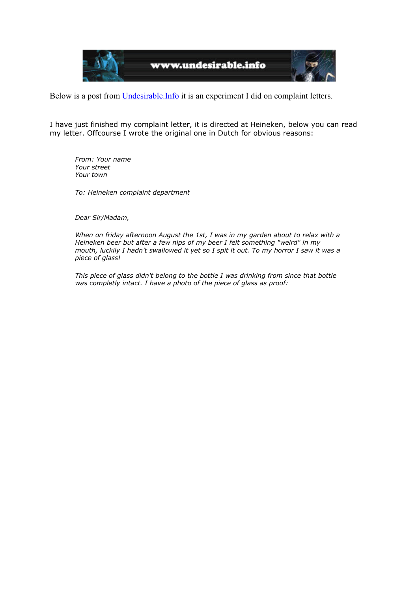

Below is a post from [Undesirable.Info](http://www.undesirable.info/) it is an experiment I did on complaint letters.

I have just finished my complaint letter, it is directed at Heineken, below you can read my letter. Offcourse I wrote the original one in Dutch for obvious reasons:

*From: Your name Your street Your town* 

*To: Heineken complaint department* 

*Dear Sir/Madam,* 

*When on friday afternoon August the 1st, I was in my garden about to relax with a Heineken beer but after a few nips of my beer I felt something "weird" in my mouth, luckily I hadn't swallowed it yet so I spit it out. To my horror I saw it was a piece of glass!* 

*This piece of glass didn't belong to the bottle I was drinking from since that bottle was completly intact. I have a photo of the piece of glass as proof:*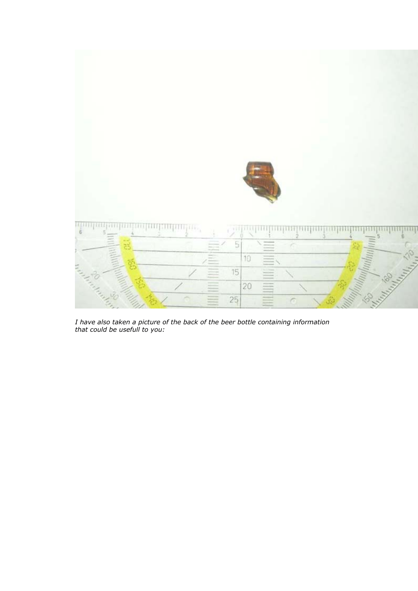

*I have also taken a picture of the back of the beer bottle containing information that could be usefull to you:*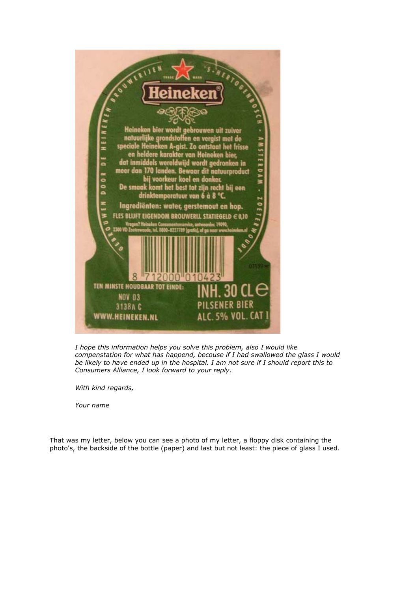

*I hope this information helps you solve this problem, also I would like compenstation for what has happend, becouse if I had swallowed the glass I would be likely to have ended up in the hospital. I am not sure if I should report this to Consumers Alliance, I look forward to your reply.* 

*With kind regards,* 

*Your name* 

That was my letter, below you can see a photo of my letter, a floppy disk containing the photo's, the backside of the bottle (paper) and last but not least: the piece of glass I used.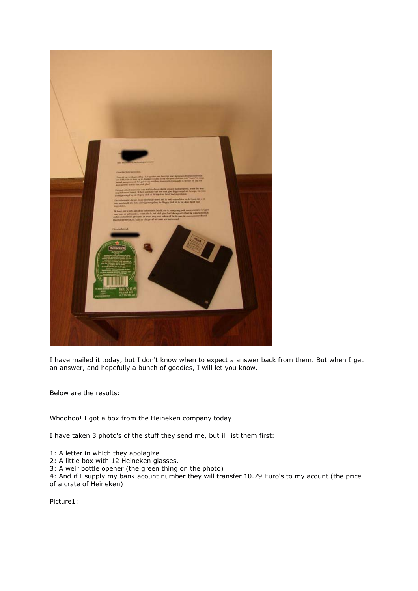

I have mailed it today, but I don't know when to expect a answer back from them. But when I get an answer, and hopefully a bunch of goodies, I will let you know.

Below are the results:

Whoohoo! I got a box from the Heineken company today

I have taken 3 photo's of the stuff they send me, but ill list them first:

- 1: A letter in which they apolagize
- 2: A little box with 12 Heineken glasses.
- 3: A weir bottle opener (the green thing on the photo)

4: And if I supply my bank acount number they will transfer 10.79 Euro's to my acount (the price of a crate of Heineken)

Picture1: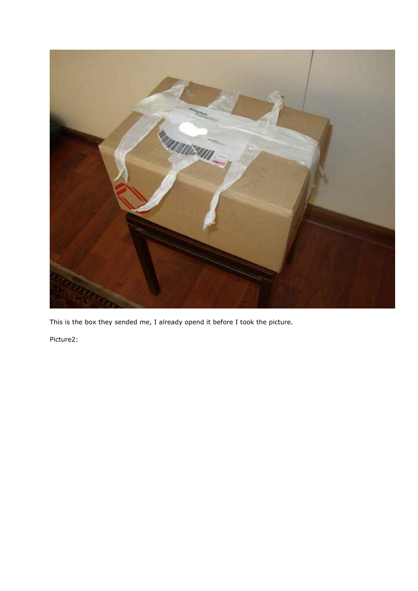

This is the box they sended me, I already opend it before I took the picture.

Picture2: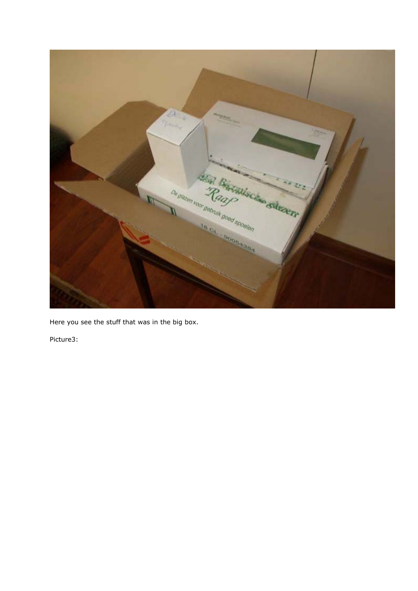

Here you see the stuff that was in the big box.

Picture3: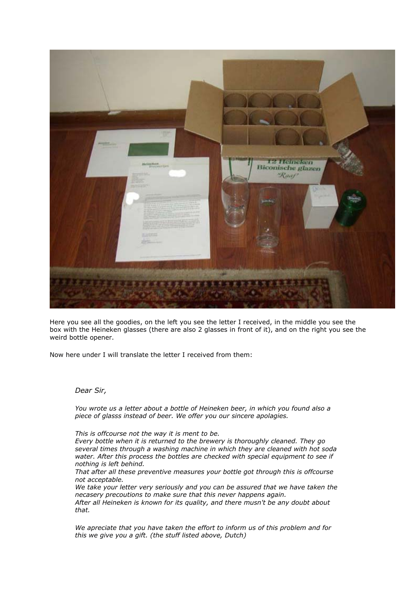

Here you see all the goodies, on the left you see the letter I received, in the middle you see the box with the Heineken glasses (there are also 2 glasses in front of it), and on the right you see the weird bottle opener.

Now here under I will translate the letter I received from them:

## *Dear Sir,*

*You wrote us a letter about a bottle of Heineken beer, in which you found also a piece of glasss instead of beer. We offer you our sincere apolagies.* 

*This is offcourse not the way it is ment to be.* 

*Every bottle when it is returned to the brewery is thoroughly cleaned. They go several times through a washing machine in which they are cleaned with hot soda water. After this process the bottles are checked with special equipment to see if nothing is left behind.* 

*That after all these preventive measures your bottle got through this is offcourse not acceptable.* 

*We take your letter very seriously and you can be assured that we have taken the necasery precoutions to make sure that this never happens again. After all Heineken is known for its quality, and there musn't be any doubt about that.* 

*We apreciate that you have taken the effort to inform us of this problem and for this we give you a gift. (the stuff listed above, Dutch)*